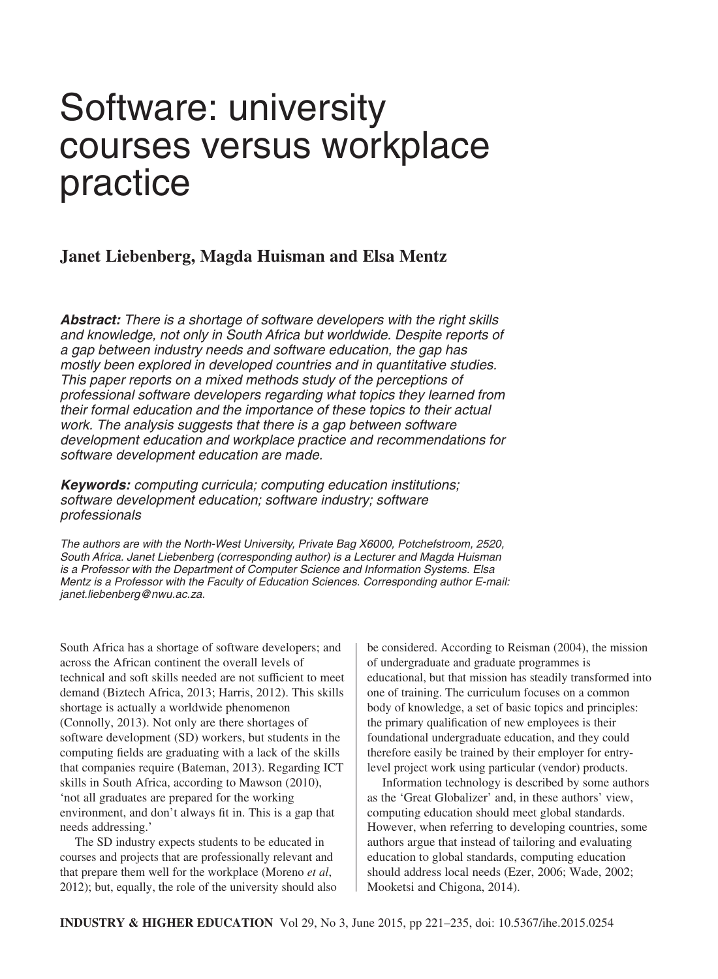# Software: university courses versus workplace practice

# **Janet Liebenberg, Magda Huisman and Elsa Mentz**

*Abstract: There is a shortage of software developers with the right skills and knowledge, not only in South Africa but worldwide. Despite reports of a gap between industry needs and software education, the gap has mostly been explored in developed countries and in quantitative studies. This paper reports on a mixed methods study of the perceptions of professional software developers regarding what topics they learned from their formal education and the importance of these topics to their actual work. The analysis suggests that there is a gap between software development education and workplace practice and recommendations for software development education are made.*

*Keywords: computing curricula; computing education institutions; software development education; software industry; software professionals*

*The authors are with the North-West University, Private Bag X6000, Potchefstroom, 2520, South Africa. Janet Liebenberg (corresponding author) is a Lecturer and Magda Huisman is a Professor with the Department of Computer Science and Information Systems. Elsa Mentz is a Professor with the Faculty of Education Sciences. Corresponding author E-mail: janet.liebenberg@nwu.ac.za.*

South Africa has a shortage of software developers; and across the African continent the overall levels of technical and soft skills needed are not sufficient to meet demand (Biztech Africa, 2013; Harris, 2012). This skills shortage is actually a worldwide phenomenon (Connolly, 2013). Not only are there shortages of software development (SD) workers, but students in the computing fields are graduating with a lack of the skills that companies require (Bateman, 2013). Regarding ICT skills in South Africa, according to Mawson (2010), 'not all graduates are prepared for the working environment, and don't always fit in. This is a gap that needs addressing.'

The SD industry expects students to be educated in courses and projects that are professionally relevant and that prepare them well for the workplace (Moreno *et al*, 2012); but, equally, the role of the university should also be considered. According to Reisman (2004), the mission of undergraduate and graduate programmes is educational, but that mission has steadily transformed into one of training. The curriculum focuses on a common body of knowledge, a set of basic topics and principles: the primary qualification of new employees is their foundational undergraduate education, and they could therefore easily be trained by their employer for entrylevel project work using particular (vendor) products.

Information technology is described by some authors as the 'Great Globalizer' and, in these authors' view, computing education should meet global standards. However, when referring to developing countries, some authors argue that instead of tailoring and evaluating education to global standards, computing education should address local needs (Ezer, 2006; Wade, 2002; Mooketsi and Chigona, 2014).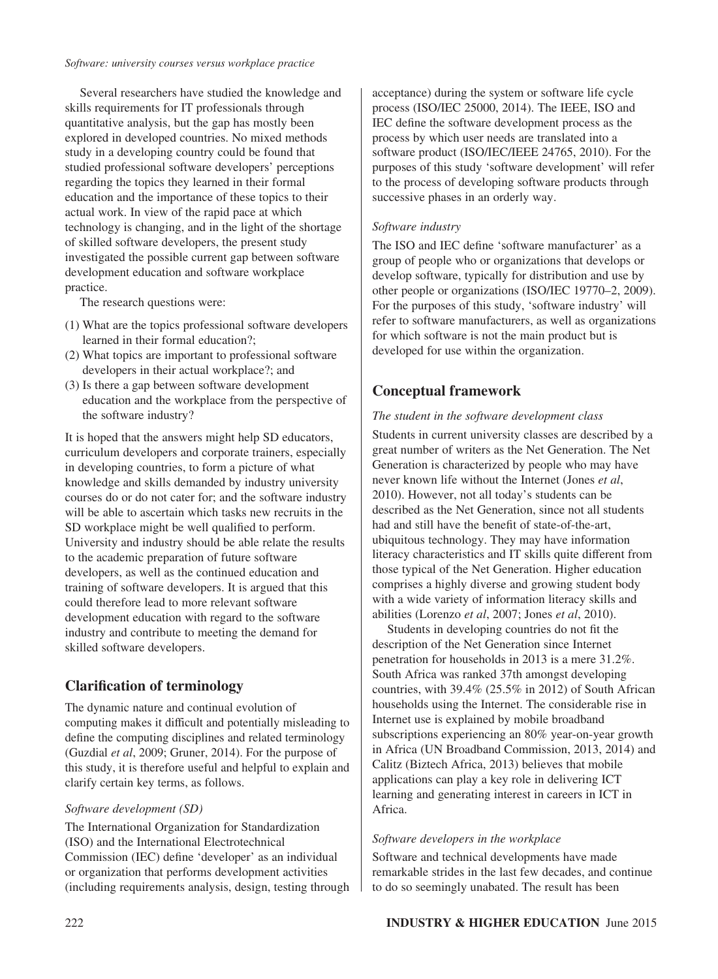#### *Software: university courses versus workplace practice*

Several researchers have studied the knowledge and skills requirements for IT professionals through quantitative analysis, but the gap has mostly been explored in developed countries. No mixed methods study in a developing country could be found that studied professional software developers' perceptions regarding the topics they learned in their formal education and the importance of these topics to their actual work. In view of the rapid pace at which technology is changing, and in the light of the shortage of skilled software developers, the present study investigated the possible current gap between software development education and software workplace practice.

The research questions were:

- (1) What are the topics professional software developers learned in their formal education?;
- (2) What topics are important to professional software developers in their actual workplace?; and
- (3) Is there a gap between software development education and the workplace from the perspective of the software industry?

It is hoped that the answers might help SD educators, curriculum developers and corporate trainers, especially in developing countries, to form a picture of what knowledge and skills demanded by industry university courses do or do not cater for; and the software industry will be able to ascertain which tasks new recruits in the SD workplace might be well qualified to perform. University and industry should be able relate the results to the academic preparation of future software developers, as well as the continued education and training of software developers. It is argued that this could therefore lead to more relevant software development education with regard to the software industry and contribute to meeting the demand for skilled software developers.

# **Clarification of terminology**

The dynamic nature and continual evolution of computing makes it difficult and potentially misleading to define the computing disciplines and related terminology (Guzdial *et al*, 2009; Gruner, 2014). For the purpose of this study, it is therefore useful and helpful to explain and clarify certain key terms, as follows.

## *Software development (SD)*

The International Organization for Standardization (ISO) and the International Electrotechnical Commission (IEC) define 'developer' as an individual or organization that performs development activities (including requirements analysis, design, testing through

acceptance) during the system or software life cycle process (ISO/IEC 25000, 2014). The IEEE, ISO and IEC define the software development process as the process by which user needs are translated into a software product (ISO/IEC/IEEE 24765, 2010). For the purposes of this study 'software development' will refer to the process of developing software products through successive phases in an orderly way.

## *Software industry*

The ISO and IEC define 'software manufacturer' as a group of people who or organizations that develops or develop software, typically for distribution and use by other people or organizations (ISO/IEC 19770–2, 2009). For the purposes of this study, 'software industry' will refer to software manufacturers, as well as organizations for which software is not the main product but is developed for use within the organization.

# **Conceptual framework**

## *The student in the software development class*

Students in current university classes are described by a great number of writers as the Net Generation. The Net Generation is characterized by people who may have never known life without the Internet (Jones *et al*, 2010). However, not all today's students can be described as the Net Generation, since not all students had and still have the benefit of state-of-the-art, ubiquitous technology. They may have information literacy characteristics and IT skills quite different from those typical of the Net Generation. Higher education comprises a highly diverse and growing student body with a wide variety of information literacy skills and abilities (Lorenzo *et al*, 2007; Jones *et al*, 2010).

Students in developing countries do not fit the description of the Net Generation since Internet penetration for households in 2013 is a mere 31.2%. South Africa was ranked 37th amongst developing countries, with 39.4% (25.5% in 2012) of South African households using the Internet. The considerable rise in Internet use is explained by mobile broadband subscriptions experiencing an 80% year-on-year growth in Africa (UN Broadband Commission, 2013, 2014) and Calitz (Biztech Africa, 2013) believes that mobile applications can play a key role in delivering ICT learning and generating interest in careers in ICT in Africa.

## *Software developers in the workplace*

Software and technical developments have made remarkable strides in the last few decades, and continue to do so seemingly unabated. The result has been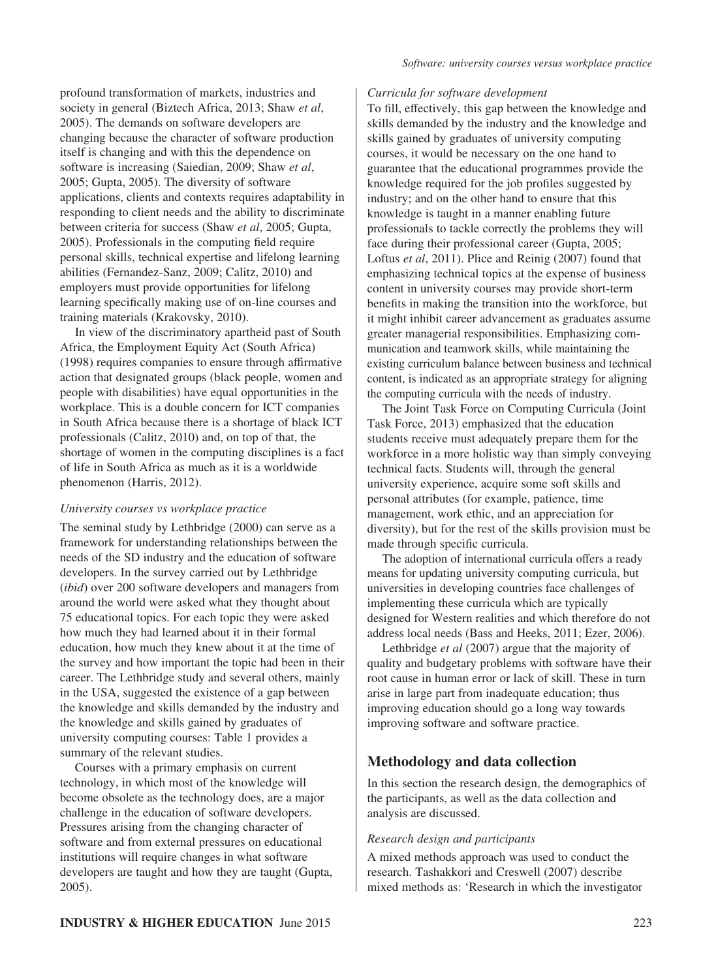profound transformation of markets, industries and society in general (Biztech Africa, 2013; Shaw *et al*, 2005). The demands on software developers are changing because the character of software production itself is changing and with this the dependence on software is increasing (Saiedian, 2009; Shaw *et al*, 2005; Gupta, 2005). The diversity of software applications, clients and contexts requires adaptability in responding to client needs and the ability to discriminate between criteria for success (Shaw *et al*, 2005; Gupta, 2005). Professionals in the computing field require personal skills, technical expertise and lifelong learning abilities (Fernandez-Sanz, 2009; Calitz, 2010) and employers must provide opportunities for lifelong learning specifically making use of on-line courses and training materials (Krakovsky, 2010).

In view of the discriminatory apartheid past of South Africa, the Employment Equity Act (South Africa) (1998) requires companies to ensure through affirmative action that designated groups (black people, women and people with disabilities) have equal opportunities in the workplace. This is a double concern for ICT companies in South Africa because there is a shortage of black ICT professionals (Calitz, 2010) and, on top of that, the shortage of women in the computing disciplines is a fact of life in South Africa as much as it is a worldwide phenomenon (Harris, 2012).

## *University courses vs workplace practice*

The seminal study by Lethbridge (2000) can serve as a framework for understanding relationships between the needs of the SD industry and the education of software developers. In the survey carried out by Lethbridge (*ibid*) over 200 software developers and managers from around the world were asked what they thought about 75 educational topics. For each topic they were asked how much they had learned about it in their formal education, how much they knew about it at the time of the survey and how important the topic had been in their career. The Lethbridge study and several others, mainly in the USA, suggested the existence of a gap between the knowledge and skills demanded by the industry and the knowledge and skills gained by graduates of university computing courses: Table 1 provides a summary of the relevant studies.

Courses with a primary emphasis on current technology, in which most of the knowledge will become obsolete as the technology does, are a major challenge in the education of software developers. Pressures arising from the changing character of software and from external pressures on educational institutions will require changes in what software developers are taught and how they are taught (Gupta, 2005).

#### *Curricula for software development*

To fill, effectively, this gap between the knowledge and skills demanded by the industry and the knowledge and skills gained by graduates of university computing courses, it would be necessary on the one hand to guarantee that the educational programmes provide the knowledge required for the job profiles suggested by industry; and on the other hand to ensure that this knowledge is taught in a manner enabling future professionals to tackle correctly the problems they will face during their professional career (Gupta, 2005; Loftus *et al*, 2011). Plice and Reinig (2007) found that emphasizing technical topics at the expense of business content in university courses may provide short-term benefits in making the transition into the workforce, but it might inhibit career advancement as graduates assume greater managerial responsibilities. Emphasizing communication and teamwork skills, while maintaining the existing curriculum balance between business and technical content, is indicated as an appropriate strategy for aligning the computing curricula with the needs of industry.

The Joint Task Force on Computing Curricula (Joint Task Force, 2013) emphasized that the education students receive must adequately prepare them for the workforce in a more holistic way than simply conveying technical facts. Students will, through the general university experience, acquire some soft skills and personal attributes (for example, patience, time management, work ethic, and an appreciation for diversity), but for the rest of the skills provision must be made through specific curricula.

The adoption of international curricula offers a ready means for updating university computing curricula, but universities in developing countries face challenges of implementing these curricula which are typically designed for Western realities and which therefore do not address local needs (Bass and Heeks, 2011; Ezer, 2006).

Lethbridge *et al* (2007) argue that the majority of quality and budgetary problems with software have their root cause in human error or lack of skill. These in turn arise in large part from inadequate education; thus improving education should go a long way towards improving software and software practice.

# **Methodology and data collection**

In this section the research design, the demographics of the participants, as well as the data collection and analysis are discussed.

## *Research design and participants*

A mixed methods approach was used to conduct the research. Tashakkori and Creswell (2007) describe mixed methods as: 'Research in which the investigator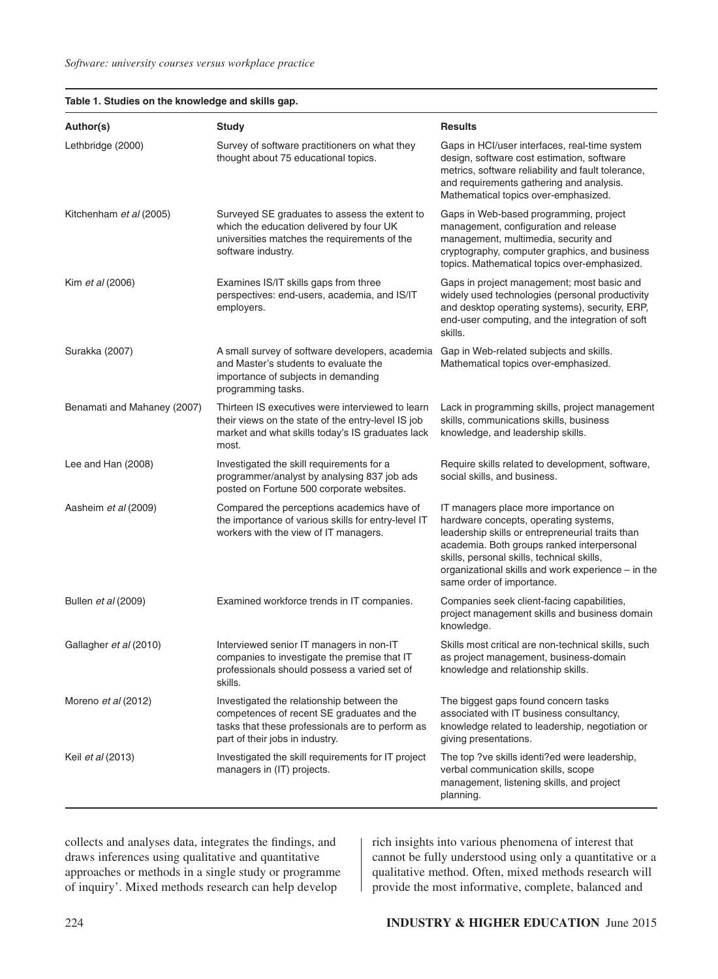| Author(s)                   | <b>Study</b>                                                                                                                                                                   | <b>Results</b>                                                                                                                                                                                                                                                                                                   |
|-----------------------------|--------------------------------------------------------------------------------------------------------------------------------------------------------------------------------|------------------------------------------------------------------------------------------------------------------------------------------------------------------------------------------------------------------------------------------------------------------------------------------------------------------|
| Lethbridge (2000)           | Survey of software practitioners on what they<br>thought about 75 educational topics.                                                                                          | Gaps in HCI/user interfaces, real-time system<br>design, software cost estimation, software<br>metrics, software reliability and fault tolerance,<br>and requirements gathering and analysis.<br>Mathematical topics over-emphasized.                                                                            |
| Kitchenham et al (2005)     | Surveyed SE graduates to assess the extent to<br>which the education delivered by four UK<br>universities matches the requirements of the<br>software industry.                | Gaps in Web-based programming, project<br>management, configuration and release<br>management, multimedia, security and<br>cryptography, computer graphics, and business<br>topics. Mathematical topics over-emphasized.                                                                                         |
| Kim et al (2006)            | Examines IS/IT skills gaps from three<br>perspectives: end-users, academia, and IS/IT<br>employers.                                                                            | Gaps in project management; most basic and<br>widely used technologies (personal productivity<br>and desktop operating systems), security, ERP,<br>end-user computing, and the integration of soft<br>skills.                                                                                                    |
| Surakka (2007)              | A small survey of software developers, academia<br>and Master's students to evaluate the<br>importance of subjects in demanding<br>programming tasks.                          | Gap in Web-related subjects and skills.<br>Mathematical topics over-emphasized.                                                                                                                                                                                                                                  |
| Benamati and Mahaney (2007) | Thirteen IS executives were interviewed to learn<br>their views on the state of the entry-level IS job<br>market and what skills today's IS graduates lack<br>most.            | Lack in programming skills, project management<br>skills, communications skills, business<br>knowledge, and leadership skills.                                                                                                                                                                                   |
| Lee and Han (2008)          | Investigated the skill requirements for a<br>programmer/analyst by analysing 837 job ads<br>posted on Fortune 500 corporate websites.                                          | Require skills related to development, software,<br>social skills, and business.                                                                                                                                                                                                                                 |
| Aasheim et al (2009)        | Compared the perceptions academics have of<br>the importance of various skills for entry-level IT<br>workers with the view of IT managers.                                     | IT managers place more importance on<br>hardware concepts, operating systems,<br>leadership skills or entrepreneurial traits than<br>academia. Both groups ranked interpersonal<br>skills, personal skills, technical skills,<br>organizational skills and work experience - in the<br>same order of importance. |
| Bullen et al (2009)         | Examined workforce trends in IT companies.                                                                                                                                     | Companies seek client-facing capabilities,<br>project management skills and business domain<br>knowledge.                                                                                                                                                                                                        |
| Gallagher et al (2010)      | Interviewed senior IT managers in non-IT<br>companies to investigate the premise that IT<br>professionals should possess a varied set of<br>skills.                            | Skills most critical are non-technical skills, such<br>as project management, business-domain<br>knowledge and relationship skills.                                                                                                                                                                              |
| Moreno et al (2012)         | Investigated the relationship between the<br>competences of recent SE graduates and the<br>tasks that these professionals are to perform as<br>part of their jobs in industry. | The biggest gaps found concern tasks<br>associated with IT business consultancy,<br>knowledge related to leadership, negotiation or<br>giving presentations.                                                                                                                                                     |
| Keil et al (2013)           | Investigated the skill requirements for IT project<br>managers in (IT) projects.                                                                                               | The top ?ve skills identi?ed were leadership,<br>verbal communication skills, scope<br>management, listening skills, and project<br>planning.                                                                                                                                                                    |

**Table 1. Studies on the knowledge and skills gap.**

collects and analyses data, integrates the findings, and draws inferences using qualitative and quantitative approaches or methods in a single study or programme of inquiry'. Mixed methods research can help develop

rich insights into various phenomena of interest that cannot be fully understood using only a quantitative or a qualitative method. Often, mixed methods research will provide the most informative, complete, balanced and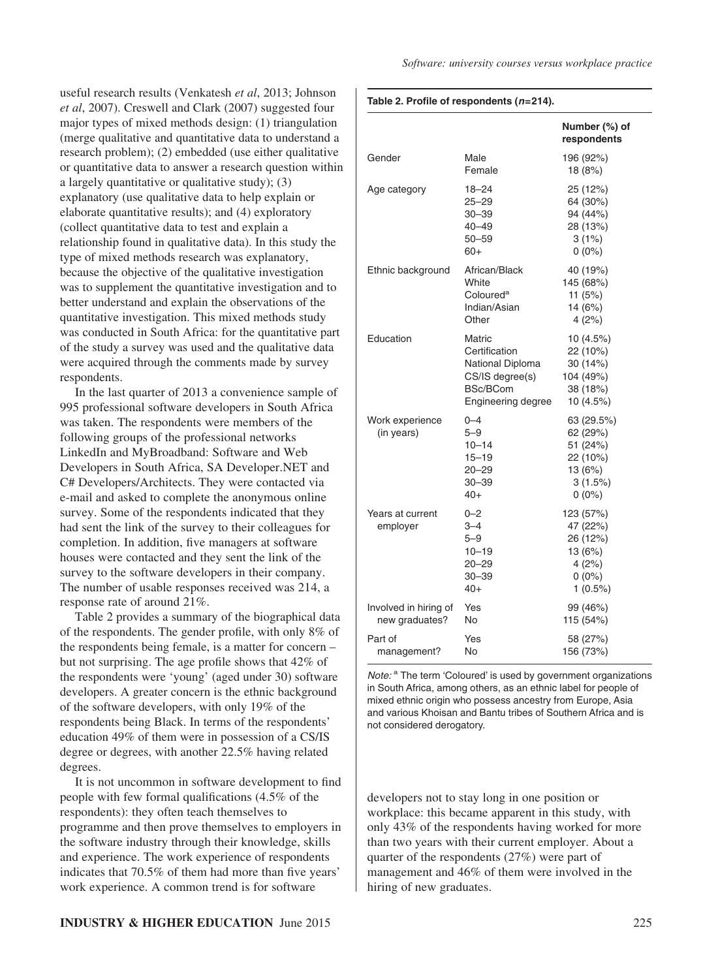useful research results (Venkatesh *et al*, 2013; Johnson *et al*, 2007). Creswell and Clark (2007) suggested four major types of mixed methods design: (1) triangulation (merge qualitative and quantitative data to understand a research problem); (2) embedded (use either qualitative or quantitative data to answer a research question within a largely quantitative or qualitative study); (3) explanatory (use qualitative data to help explain or elaborate quantitative results); and (4) exploratory (collect quantitative data to test and explain a relationship found in qualitative data). In this study the type of mixed methods research was explanatory, because the objective of the qualitative investigation was to supplement the quantitative investigation and to better understand and explain the observations of the quantitative investigation. This mixed methods study was conducted in South Africa: for the quantitative part of the study a survey was used and the qualitative data were acquired through the comments made by survey respondents.

In the last quarter of 2013 a convenience sample of 995 professional software developers in South Africa was taken. The respondents were members of the following groups of the professional networks LinkedIn and MyBroadband: Software and Web Developers in South Africa, SA Developer.NET and C# Developers/Architects. They were contacted via e-mail and asked to complete the anonymous online survey. Some of the respondents indicated that they had sent the link of the survey to their colleagues for completion. In addition, five managers at software houses were contacted and they sent the link of the survey to the software developers in their company. The number of usable responses received was 214, a response rate of around 21%.

Table 2 provides a summary of the biographical data of the respondents. The gender profile, with only 8% of the respondents being female, is a matter for concern – but not surprising. The age profile shows that 42% of the respondents were 'young' (aged under 30) software developers. A greater concern is the ethnic background of the software developers, with only 19% of the respondents being Black. In terms of the respondents' education 49% of them were in possession of a CS/IS degree or degrees, with another 22.5% having related degrees.

It is not uncommon in software development to find people with few formal qualifications (4.5% of the respondents): they often teach themselves to programme and then prove themselves to employers in the software industry through their knowledge, skills and experience. The work experience of respondents indicates that 70.5% of them had more than five years' work experience. A common trend is for software

#### **Table 2. Profile of respondents (***n***=214).**

|                                         |                                                                                                                | Number (%) of<br>respondents                                                     |
|-----------------------------------------|----------------------------------------------------------------------------------------------------------------|----------------------------------------------------------------------------------|
| Gender                                  | Male<br>Female                                                                                                 | 196 (92%)<br>18 (8%)                                                             |
| Age category                            | $18 - 24$<br>$25 - 29$<br>$30 - 39$<br>$40 - 49$<br>$50 - 59$<br>$60+$                                         | 25 (12%)<br>64 (30%)<br>94 (44%)<br>28 (13%)<br>3(1%)<br>$0(0\%)$                |
| Ethnic background                       | African/Black<br>White<br>Coloured <sup>a</sup><br>Indian/Asian<br>Other                                       | 40 (19%)<br>145 (68%)<br>11 $(5%)$<br>14 (6%)<br>4(2%)                           |
| Education                               | Matric<br>Certification<br>National Diploma<br>CS/IS degree(s)<br><b>BSc/BCom</b><br><b>Engineering degree</b> | 10 (4.5%)<br>22 (10%)<br>30 (14%)<br>104 (49%)<br>38 (18%)<br>10 (4.5%)          |
| Work experience<br>(in years)           | $0 - 4$<br>$5 - 9$<br>$10 - 14$<br>$15 - 19$<br>$20 - 29$<br>$30 - 39$<br>$40+$                                | 63 (29.5%)<br>62 (29%)<br>51 (24%)<br>22 (10%)<br>13 (6%)<br>3(1.5%)<br>$0(0\%)$ |
| Years at current<br>employer            | $0 - 2$<br>$3 - 4$<br>$5 - 9$<br>$10 - 19$<br>20-29<br>$30 - 39$<br>$40+$                                      | 123 (57%)<br>47 (22%)<br>26 (12%)<br>13 (6%)<br>4(2%)<br>$0(0\%)$<br>$1(0.5\%)$  |
| Involved in hiring of<br>new graduates? | Yes<br>No                                                                                                      | 99 (46%)<br>115 (54%)                                                            |
| Part of<br>management?                  | Yes<br>No                                                                                                      | 58 (27%)<br>156 (73%)                                                            |

*Note:* <sup>a</sup> The term 'Coloured' is used by government organizations in South Africa, among others, as an ethnic label for people of mixed ethnic origin who possess ancestry from Europe, Asia and various Khoisan and Bantu tribes of Southern Africa and is not considered derogatory.

developers not to stay long in one position or workplace: this became apparent in this study, with only 43% of the respondents having worked for more than two years with their current employer. About a quarter of the respondents (27%) were part of management and 46% of them were involved in the hiring of new graduates.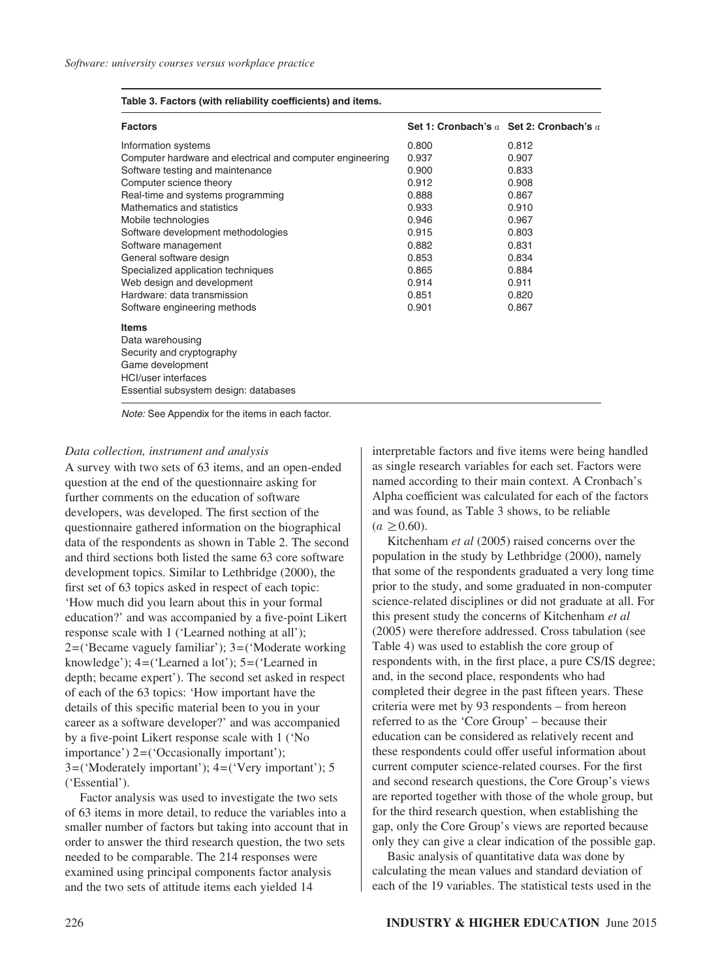#### **Table 3. Factors (with reliability coefficients) and items.**

| <b>Factors</b>                                            | Set 1: Cronbach's $a$ Set 2: Cronbach's $a$ |       |
|-----------------------------------------------------------|---------------------------------------------|-------|
| Information systems                                       | 0.800                                       | 0.812 |
| Computer hardware and electrical and computer engineering | 0.937                                       | 0.907 |
| Software testing and maintenance                          | 0.900                                       | 0.833 |
| Computer science theory                                   | 0.912                                       | 0.908 |
| Real-time and systems programming                         | 0.888                                       | 0.867 |
| Mathematics and statistics                                | 0.933                                       | 0.910 |
| Mobile technologies                                       | 0.946                                       | 0.967 |
| Software development methodologies                        | 0.915                                       | 0.803 |
| Software management                                       | 0.882                                       | 0.831 |
| General software design                                   | 0.853                                       | 0.834 |
| Specialized application techniques                        | 0.865                                       | 0.884 |
| Web design and development                                | 0.914                                       | 0.911 |
| Hardware: data transmission                               | 0.851                                       | 0.820 |
| Software engineering methods                              | 0.901                                       | 0.867 |
| <b>Items</b>                                              |                                             |       |
| Data warehousing                                          |                                             |       |
| Security and cryptography                                 |                                             |       |
| Game development                                          |                                             |       |
| <b>HCI/user interfaces</b>                                |                                             |       |
| Essential subsystem design: databases                     |                                             |       |

*Note:* See Appendix for the items in each factor.

#### *Data collection, instrument and analysis*

A survey with two sets of 63 items, and an open-ended question at the end of the questionnaire asking for further comments on the education of software developers, was developed. The first section of the questionnaire gathered information on the biographical data of the respondents as shown in Table 2. The second and third sections both listed the same 63 core software development topics. Similar to Lethbridge (2000), the first set of 63 topics asked in respect of each topic: 'How much did you learn about this in your formal education?' and was accompanied by a five-point Likert response scale with 1 ('Learned nothing at all'); 2=('Became vaguely familiar'); 3=('Moderate working knowledge'); 4=('Learned a lot'); 5=('Learned in depth; became expert'). The second set asked in respect of each of the 63 topics: 'How important have the details of this specific material been to you in your career as a software developer?' and was accompanied by a five-point Likert response scale with 1 ('No importance') 2=('Occasionally important'); 3=('Moderately important'); 4=('Very important'); 5 ('Essential').

Factor analysis was used to investigate the two sets of 63 items in more detail, to reduce the variables into a smaller number of factors but taking into account that in order to answer the third research question, the two sets needed to be comparable. The 214 responses were examined using principal components factor analysis and the two sets of attitude items each yielded 14

interpretable factors and five items were being handled as single research variables for each set. Factors were named according to their main context. A Cronbach's Alpha coefficient was calculated for each of the factors and was found, as Table 3 shows, to be reliable  $(a > 0.60)$ .

Kitchenham *et al* (2005) raised concerns over the population in the study by Lethbridge (2000), namely that some of the respondents graduated a very long time prior to the study, and some graduated in non-computer science-related disciplines or did not graduate at all. For this present study the concerns of Kitchenham *et al* (2005) were therefore addressed. Cross tabulation (see Table 4) was used to establish the core group of respondents with, in the first place, a pure CS/IS degree; and, in the second place, respondents who had completed their degree in the past fifteen years. These criteria were met by 93 respondents – from hereon referred to as the 'Core Group' – because their education can be considered as relatively recent and these respondents could offer useful information about current computer science-related courses. For the first and second research questions, the Core Group's views are reported together with those of the whole group, but for the third research question, when establishing the gap, only the Core Group's views are reported because only they can give a clear indication of the possible gap.

Basic analysis of quantitative data was done by calculating the mean values and standard deviation of each of the 19 variables. The statistical tests used in the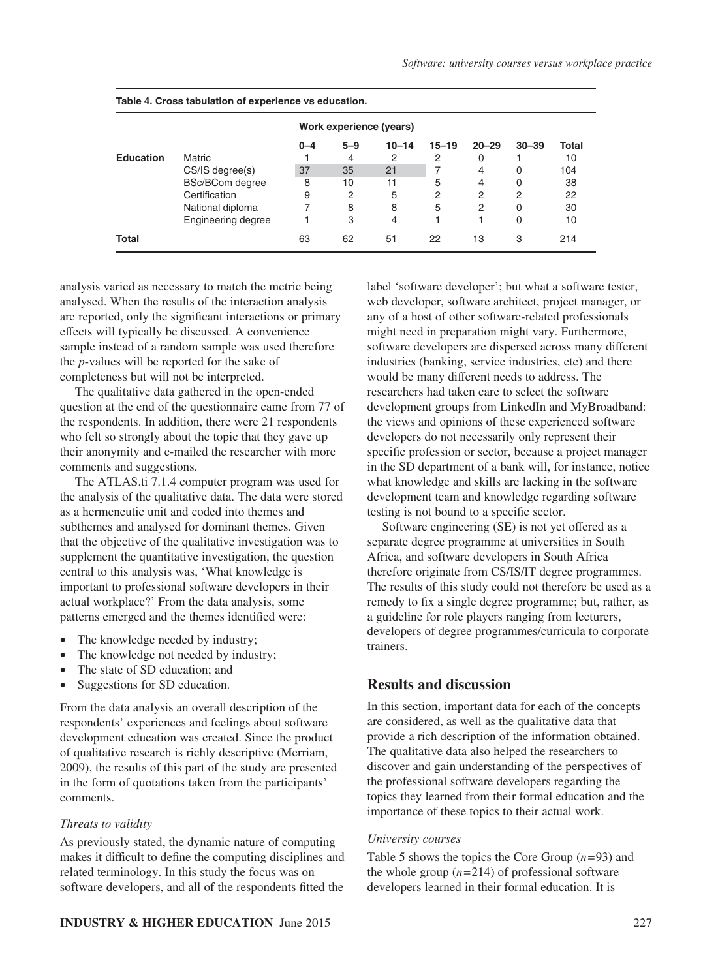|                  |                           |         |         | Work experience (years) |                |           |           |       |
|------------------|---------------------------|---------|---------|-------------------------|----------------|-----------|-----------|-------|
|                  |                           | $0 - 4$ | $5 - 9$ | $10 - 14$               | $15 - 19$      | $20 - 29$ | $30 - 39$ | Total |
| <b>Education</b> | Matric                    |         | 4       | 2                       | 2              | 0         |           | 10    |
|                  | CS/IS degree(s)           | 37      | 35      | 21                      |                | 4         | $\Omega$  | 104   |
|                  | <b>BSc/BCom degree</b>    | 8       | 10      | 11                      | 5              | 4         | 0         | 38    |
|                  | Certification             | 9       | 2       | 5                       | $\overline{2}$ | 2         | 2         | 22    |
|                  | National diploma          | 7       | 8       | 8                       | 5              | 2         | 0         | 30    |
|                  | <b>Engineering degree</b> |         | 3       | 4                       |                |           | 0         | 10    |
| Total            |                           | 63      | 62      | 51                      | 22             | 13        | 3         | 214   |

**Table 4. Cross tabulation of experience vs education.**

analysis varied as necessary to match the metric being analysed. When the results of the interaction analysis are reported, only the significant interactions or primary effects will typically be discussed. A convenience sample instead of a random sample was used therefore the *p*-values will be reported for the sake of completeness but will not be interpreted.

The qualitative data gathered in the open-ended question at the end of the questionnaire came from 77 of the respondents. In addition, there were 21 respondents who felt so strongly about the topic that they gave up their anonymity and e-mailed the researcher with more comments and suggestions.

The ATLAS.ti 7.1.4 computer program was used for the analysis of the qualitative data. The data were stored as a hermeneutic unit and coded into themes and subthemes and analysed for dominant themes. Given that the objective of the qualitative investigation was to supplement the quantitative investigation, the question central to this analysis was, 'What knowledge is important to professional software developers in their actual workplace?' From the data analysis, some patterns emerged and the themes identified were:

- The knowledge needed by industry;
- The knowledge not needed by industry;
- The state of SD education; and
- Suggestions for SD education.

From the data analysis an overall description of the respondents' experiences and feelings about software development education was created. Since the product of qualitative research is richly descriptive (Merriam, 2009), the results of this part of the study are presented in the form of quotations taken from the participants' comments.

## *Threats to validity*

As previously stated, the dynamic nature of computing makes it difficult to define the computing disciplines and related terminology. In this study the focus was on software developers, and all of the respondents fitted the

label 'software developer'; but what a software tester, web developer, software architect, project manager, or any of a host of other software-related professionals might need in preparation might vary. Furthermore, software developers are dispersed across many different industries (banking, service industries, etc) and there would be many different needs to address. The researchers had taken care to select the software development groups from LinkedIn and MyBroadband: the views and opinions of these experienced software developers do not necessarily only represent their specific profession or sector, because a project manager in the SD department of a bank will, for instance, notice what knowledge and skills are lacking in the software development team and knowledge regarding software testing is not bound to a specific sector.

Software engineering (SE) is not yet offered as a separate degree programme at universities in South Africa, and software developers in South Africa therefore originate from CS/IS/IT degree programmes. The results of this study could not therefore be used as a remedy to fix a single degree programme; but, rather, as a guideline for role players ranging from lecturers, developers of degree programmes/curricula to corporate trainers.

# **Results and discussion**

In this section, important data for each of the concepts are considered, as well as the qualitative data that provide a rich description of the information obtained. The qualitative data also helped the researchers to discover and gain understanding of the perspectives of the professional software developers regarding the topics they learned from their formal education and the importance of these topics to their actual work.

## *University courses*

Table 5 shows the topics the Core Group (*n*=93) and the whole group  $(n=214)$  of professional software developers learned in their formal education. It is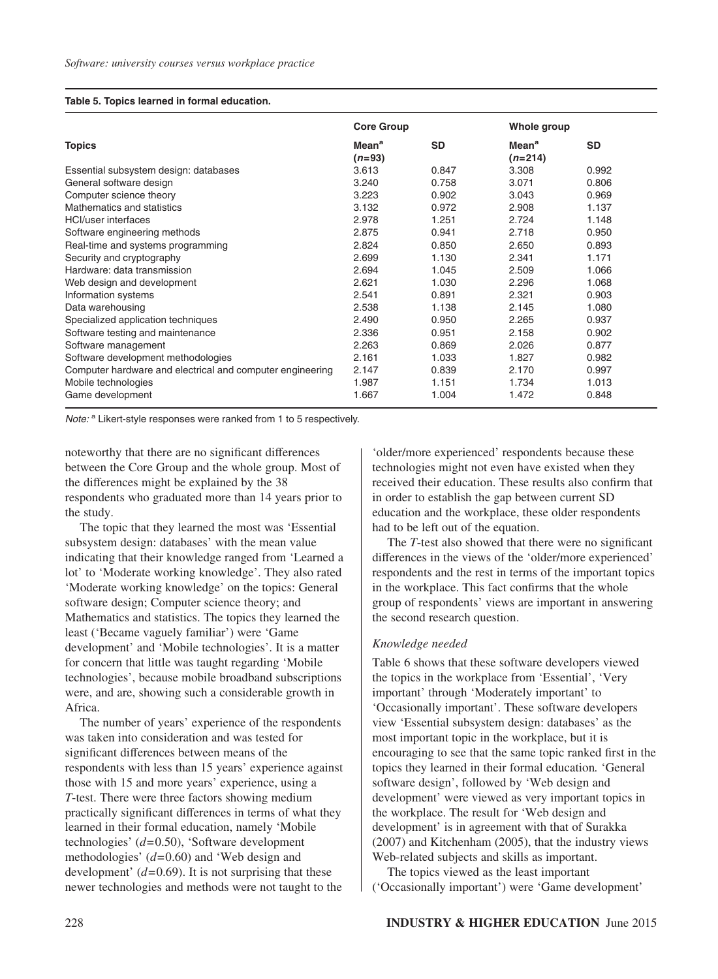#### **Table 5. Topics learned in formal education.**

|                                                           | <b>Core Group</b>             |           | Whole group                    |           |
|-----------------------------------------------------------|-------------------------------|-----------|--------------------------------|-----------|
| <b>Topics</b>                                             | Mean <sup>a</sup><br>$(n=93)$ | <b>SD</b> | Mean <sup>a</sup><br>$(n=214)$ | <b>SD</b> |
| Essential subsystem design: databases                     | 3.613                         | 0.847     | 3.308                          | 0.992     |
| General software design                                   | 3.240                         | 0.758     | 3.071                          | 0.806     |
| Computer science theory                                   | 3.223                         | 0.902     | 3.043                          | 0.969     |
| Mathematics and statistics                                | 3.132                         | 0.972     | 2.908                          | 1.137     |
| <b>HCI/user interfaces</b>                                | 2.978                         | 1.251     | 2.724                          | 1.148     |
| Software engineering methods                              | 2.875                         | 0.941     | 2.718                          | 0.950     |
| Real-time and systems programming                         | 2.824                         | 0.850     | 2.650                          | 0.893     |
| Security and cryptography                                 | 2.699                         | 1.130     | 2.341                          | 1.171     |
| Hardware: data transmission                               | 2.694                         | 1.045     | 2.509                          | 1.066     |
| Web design and development                                | 2.621                         | 1.030     | 2.296                          | 1.068     |
| Information systems                                       | 2.541                         | 0.891     | 2.321                          | 0.903     |
| Data warehousing                                          | 2.538                         | 1.138     | 2.145                          | 1.080     |
| Specialized application techniques                        | 2.490                         | 0.950     | 2.265                          | 0.937     |
| Software testing and maintenance                          | 2.336                         | 0.951     | 2.158                          | 0.902     |
| Software management                                       | 2.263                         | 0.869     | 2.026                          | 0.877     |
| Software development methodologies                        | 2.161                         | 1.033     | 1.827                          | 0.982     |
| Computer hardware and electrical and computer engineering | 2.147                         | 0.839     | 2.170                          | 0.997     |
| Mobile technologies                                       | 1.987                         | 1.151     | 1.734                          | 1.013     |
| Game development                                          | 1.667                         | 1.004     | 1.472                          | 0.848     |

*Note:* <sup>a</sup> Likert-style responses were ranked from 1 to 5 respectively.

noteworthy that there are no significant differences between the Core Group and the whole group. Most of the differences might be explained by the 38 respondents who graduated more than 14 years prior to the study.

The topic that they learned the most was 'Essential subsystem design: databases' with the mean value indicating that their knowledge ranged from 'Learned a lot' to 'Moderate working knowledge'. They also rated 'Moderate working knowledge' on the topics: General software design; Computer science theory; and Mathematics and statistics. The topics they learned the least ('Became vaguely familiar') were 'Game development' and 'Mobile technologies'. It is a matter for concern that little was taught regarding 'Mobile technologies', because mobile broadband subscriptions were, and are, showing such a considerable growth in Africa.

The number of years' experience of the respondents was taken into consideration and was tested for significant differences between means of the respondents with less than 15 years' experience against those with 15 and more years' experience, using a *T*-test. There were three factors showing medium practically significant differences in terms of what they learned in their formal education, namely 'Mobile technologies' (*d*=0.50), 'Software development methodologies' (*d*=0.60) and 'Web design and development'  $(d=0.69)$ . It is not surprising that these newer technologies and methods were not taught to the

'older/more experienced' respondents because these technologies might not even have existed when they received their education. These results also confirm that in order to establish the gap between current SD education and the workplace, these older respondents had to be left out of the equation.

The *T*-test also showed that there were no significant differences in the views of the 'older/more experienced' respondents and the rest in terms of the important topics in the workplace. This fact confirms that the whole group of respondents' views are important in answering the second research question.

## *Knowledge needed*

Table 6 shows that these software developers viewed the topics in the workplace from 'Essential', 'Very important' through 'Moderately important' to 'Occasionally important'. These software developers view 'Essential subsystem design: databases' as the most important topic in the workplace, but it is encouraging to see that the same topic ranked first in the topics they learned in their formal education*.* 'General software design', followed by 'Web design and development' were viewed as very important topics in the workplace. The result for 'Web design and development' is in agreement with that of Surakka (2007) and Kitchenham (2005), that the industry views Web-related subjects and skills as important.

The topics viewed as the least important ('Occasionally important') were 'Game development'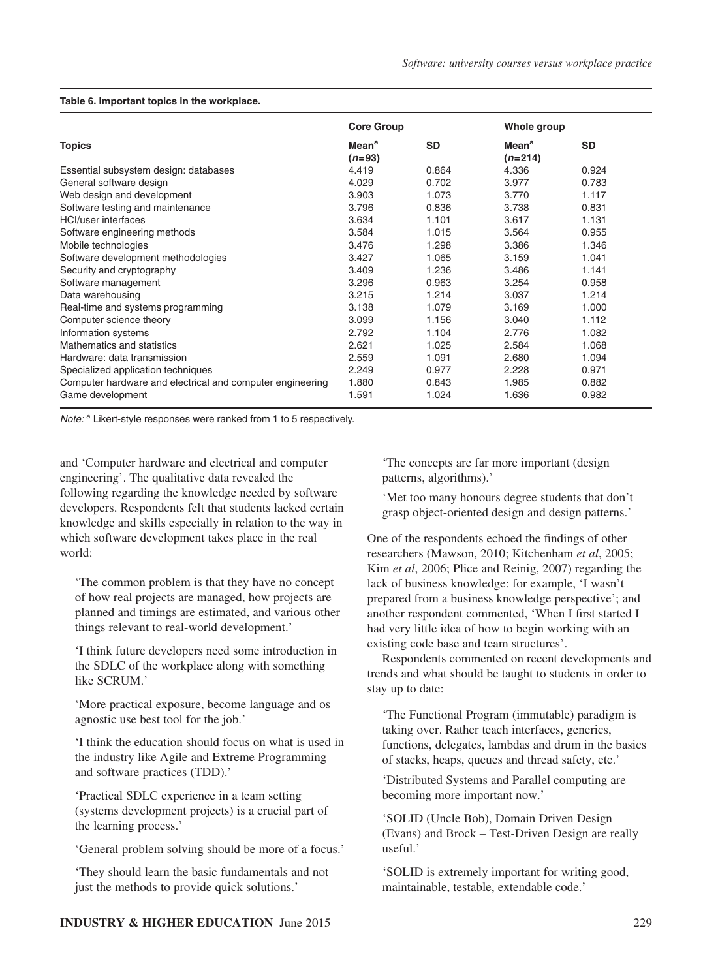|                                                           | <b>Core Group</b>             |           | Whole group                          |           |
|-----------------------------------------------------------|-------------------------------|-----------|--------------------------------------|-----------|
| <b>Topics</b>                                             | Mean <sup>a</sup><br>$(n=93)$ | <b>SD</b> | <b>Mean<sup>a</sup></b><br>$(n=214)$ | <b>SD</b> |
| Essential subsystem design: databases                     | 4.419                         | 0.864     | 4.336                                | 0.924     |
| General software design                                   | 4.029                         | 0.702     | 3.977                                | 0.783     |
| Web design and development                                | 3.903                         | 1.073     | 3.770                                | 1.117     |
| Software testing and maintenance                          | 3.796                         | 0.836     | 3.738                                | 0.831     |
| <b>HCI/user</b> interfaces                                | 3.634                         | 1.101     | 3.617                                | 1.131     |
| Software engineering methods                              | 3.584                         | 1.015     | 3.564                                | 0.955     |
| Mobile technologies                                       | 3.476                         | 1.298     | 3.386                                | 1.346     |
| Software development methodologies                        | 3.427                         | 1.065     | 3.159                                | 1.041     |
| Security and cryptography                                 | 3.409                         | 1.236     | 3.486                                | 1.141     |
| Software management                                       | 3.296                         | 0.963     | 3.254                                | 0.958     |
| Data warehousing                                          | 3.215                         | 1.214     | 3.037                                | 1.214     |
| Real-time and systems programming                         | 3.138                         | 1.079     | 3.169                                | 1.000     |
| Computer science theory                                   | 3.099                         | 1.156     | 3.040                                | 1.112     |
| Information systems                                       | 2.792                         | 1.104     | 2.776                                | 1.082     |
| Mathematics and statistics                                | 2.621                         | 1.025     | 2.584                                | 1.068     |
| Hardware: data transmission                               | 2.559                         | 1.091     | 2.680                                | 1.094     |
| Specialized application techniques                        | 2.249                         | 0.977     | 2.228                                | 0.971     |
| Computer hardware and electrical and computer engineering | 1.880                         | 0.843     | 1.985                                | 0.882     |
| Game development                                          | 1.591                         | 1.024     | 1.636                                | 0.982     |

#### **Table 6. Important topics in the workplace.**

*Note:* <sup>a</sup> Likert-style responses were ranked from 1 to 5 respectively.

and 'Computer hardware and electrical and computer engineering'. The qualitative data revealed the following regarding the knowledge needed by software developers. Respondents felt that students lacked certain knowledge and skills especially in relation to the way in which software development takes place in the real world:

'The common problem is that they have no concept of how real projects are managed, how projects are planned and timings are estimated, and various other things relevant to real-world development.'

'I think future developers need some introduction in the SDLC of the workplace along with something like SCRUM.'

'More practical exposure, become language and os agnostic use best tool for the job.'

'I think the education should focus on what is used in the industry like Agile and Extreme Programming and software practices (TDD).'

'Practical SDLC experience in a team setting (systems development projects) is a crucial part of the learning process.'

'General problem solving should be more of a focus.'

'They should learn the basic fundamentals and not just the methods to provide quick solutions.'

'The concepts are far more important (design patterns, algorithms).'

'Met too many honours degree students that don't grasp object-oriented design and design patterns.'

One of the respondents echoed the findings of other researchers (Mawson, 2010; Kitchenham *et al*, 2005; Kim *et al*, 2006; Plice and Reinig, 2007) regarding the lack of business knowledge: for example, 'I wasn't prepared from a business knowledge perspective'; and another respondent commented, 'When I first started I had very little idea of how to begin working with an existing code base and team structures'.

Respondents commented on recent developments and trends and what should be taught to students in order to stay up to date:

'The Functional Program (immutable) paradigm is taking over. Rather teach interfaces, generics, functions, delegates, lambdas and drum in the basics of stacks, heaps, queues and thread safety, etc.'

'Distributed Systems and Parallel computing are becoming more important now.'

'SOLID (Uncle Bob), Domain Driven Design (Evans) and Brock – Test-Driven Design are really useful.'

'SOLID is extremely important for writing good, maintainable, testable, extendable code.'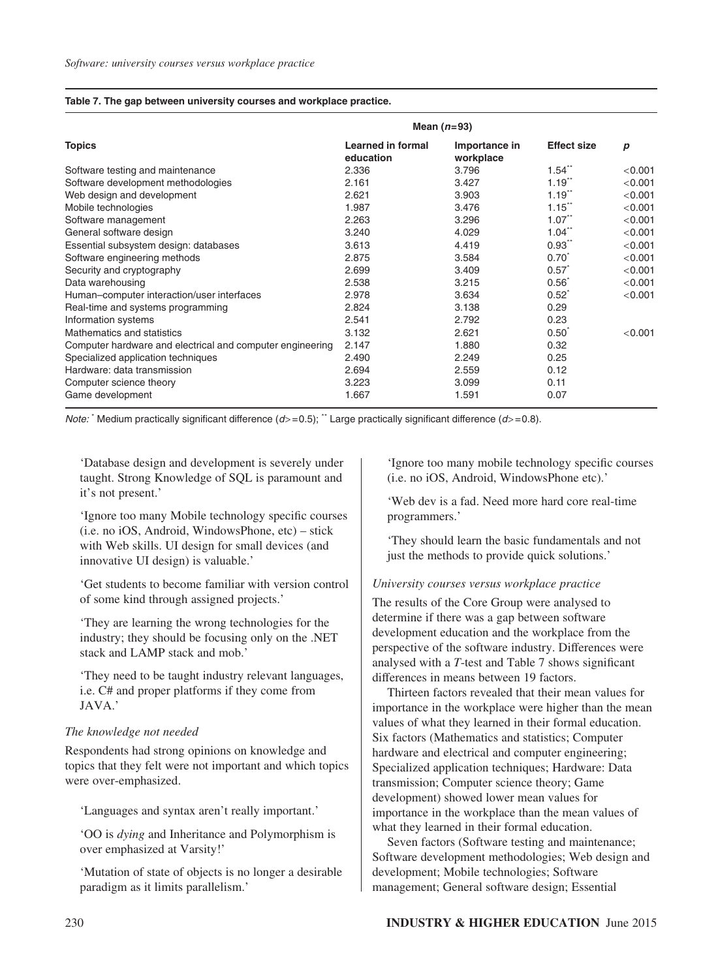#### **Table 7. The gap between university courses and workplace practice.**

|                                                           |                                       | Mean $(n=93)$              |                      |         |
|-----------------------------------------------------------|---------------------------------------|----------------------------|----------------------|---------|
| <b>Topics</b>                                             | <b>Learned in formal</b><br>education | Importance in<br>workplace | <b>Effect size</b>   | р       |
| Software testing and maintenance                          | 2.336                                 | 3.796                      | $1.54$ <sup>**</sup> | < 0.001 |
| Software development methodologies                        | 2.161                                 | 3.427                      | $1.19$ <sup>"</sup>  | < 0.001 |
| Web design and development                                | 2.621                                 | 3.903                      | $1.19$ <sup>**</sup> | < 0.001 |
| Mobile technologies                                       | 1.987                                 | 3.476                      | $1.15$ <sup>**</sup> | < 0.001 |
| Software management                                       | 2.263                                 | 3.296                      | $1.07$ <sup>**</sup> | < 0.001 |
| General software design                                   | 3.240                                 | 4.029                      | $1.04$ <sup>**</sup> | < 0.001 |
| Essential subsystem design: databases                     | 3.613                                 | 4.419                      | $0.93$ <sup>**</sup> | < 0.001 |
| Software engineering methods                              | 2.875                                 | 3.584                      | $0.70^{\degree}$     | < 0.001 |
| Security and cryptography                                 | 2.699                                 | 3.409                      | $0.57^*$             | < 0.001 |
| Data warehousing                                          | 2.538                                 | 3.215                      | $0.56^{\degree}$     | < 0.001 |
| Human-computer interaction/user interfaces                | 2.978                                 | 3.634                      | $0.52^*$             | < 0.001 |
| Real-time and systems programming                         | 2.824                                 | 3.138                      | 0.29                 |         |
| Information systems                                       | 2.541                                 | 2.792                      | 0.23                 |         |
| Mathematics and statistics                                | 3.132                                 | 2.621                      | $0.50^*$             | < 0.001 |
| Computer hardware and electrical and computer engineering | 2.147                                 | 1.880                      | 0.32                 |         |
| Specialized application techniques                        | 2.490                                 | 2.249                      | 0.25                 |         |
| Hardware: data transmission                               | 2.694                                 | 2.559                      | 0.12                 |         |
| Computer science theory                                   | 3.223                                 | 3.099                      | 0.11                 |         |
| Game development                                          | 1.667                                 | 1.591                      | 0.07                 |         |

*Note:* Medium practically significant difference  $(d>=0.5)$ ;  $\degree$  Large practically significant difference  $(d>=0.8)$ .

'Database design and development is severely under taught. Strong Knowledge of SQL is paramount and it's not present.'

'Ignore too many Mobile technology specific courses (i.e. no iOS, Android, WindowsPhone, etc) – stick with Web skills. UI design for small devices (and innovative UI design) is valuable.'

'Get students to become familiar with version control of some kind through assigned projects.'

'They are learning the wrong technologies for the industry; they should be focusing only on the .NET stack and LAMP stack and mob.'

'They need to be taught industry relevant languages, i.e. C# and proper platforms if they come from JAVA.'

## *The knowledge not needed*

Respondents had strong opinions on knowledge and topics that they felt were not important and which topics were over-emphasized.

'Languages and syntax aren't really important.'

'OO is *dying* and Inheritance and Polymorphism is over emphasized at Varsity!'

'Mutation of state of objects is no longer a desirable paradigm as it limits parallelism.'

'Ignore too many mobile technology specific courses (i.e. no iOS, Android, WindowsPhone etc).'

'Web dev is a fad. Need more hard core real-time programmers.'

'They should learn the basic fundamentals and not just the methods to provide quick solutions.'

## *University courses versus workplace practice*

The results of the Core Group were analysed to determine if there was a gap between software development education and the workplace from the perspective of the software industry. Differences were analysed with a *T*-test and Table 7 shows significant differences in means between 19 factors.

Thirteen factors revealed that their mean values for importance in the workplace were higher than the mean values of what they learned in their formal education. Six factors (Mathematics and statistics; Computer hardware and electrical and computer engineering; Specialized application techniques; Hardware: Data transmission; Computer science theory; Game development) showed lower mean values for importance in the workplace than the mean values of what they learned in their formal education.

Seven factors (Software testing and maintenance; Software development methodologies; Web design and development; Mobile technologies; Software management; General software design; Essential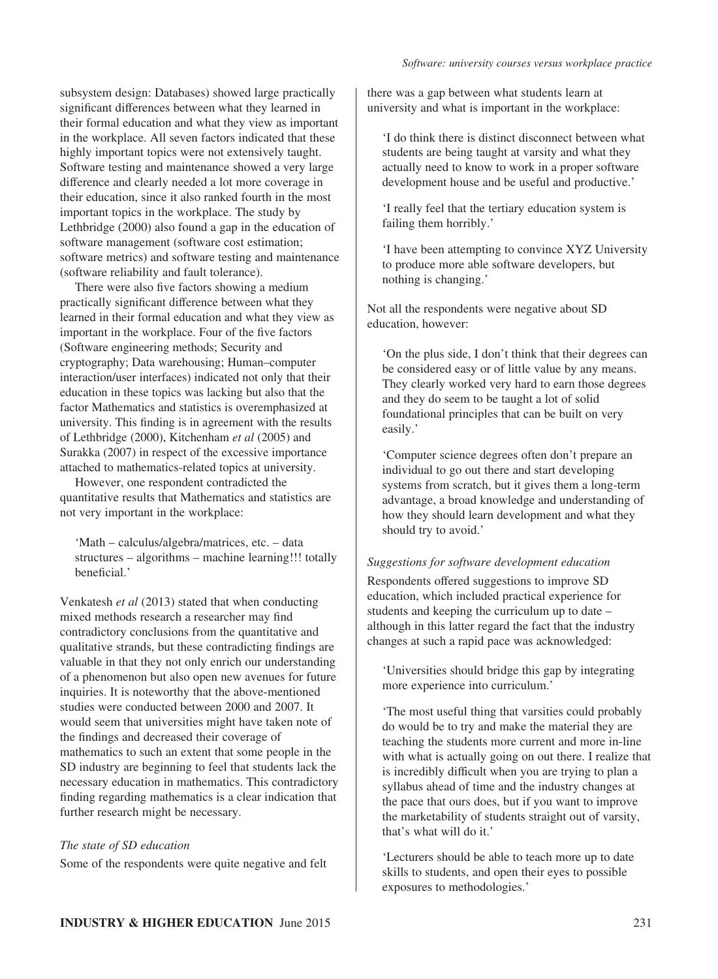subsystem design: Databases) showed large practically significant differences between what they learned in their formal education and what they view as important in the workplace. All seven factors indicated that these highly important topics were not extensively taught. Software testing and maintenance showed a very large difference and clearly needed a lot more coverage in their education, since it also ranked fourth in the most important topics in the workplace. The study by Lethbridge (2000) also found a gap in the education of software management (software cost estimation; software metrics) and software testing and maintenance (software reliability and fault tolerance).

There were also five factors showing a medium practically significant difference between what they learned in their formal education and what they view as important in the workplace. Four of the five factors (Software engineering methods; Security and cryptography; Data warehousing; Human–computer interaction/user interfaces) indicated not only that their education in these topics was lacking but also that the factor Mathematics and statistics is overemphasized at university. This finding is in agreement with the results of Lethbridge (2000), Kitchenham *et al* (2005) and Surakka (2007) in respect of the excessive importance attached to mathematics-related topics at university.

However, one respondent contradicted the quantitative results that Mathematics and statistics are not very important in the workplace:

'Math – calculus/algebra/matrices, etc. – data structures – algorithms – machine learning!!! totally beneficial.'

Venkatesh *et al* (2013) stated that when conducting mixed methods research a researcher may find contradictory conclusions from the quantitative and qualitative strands, but these contradicting findings are valuable in that they not only enrich our understanding of a phenomenon but also open new avenues for future inquiries. It is noteworthy that the above-mentioned studies were conducted between 2000 and 2007. It would seem that universities might have taken note of the findings and decreased their coverage of mathematics to such an extent that some people in the SD industry are beginning to feel that students lack the necessary education in mathematics. This contradictory finding regarding mathematics is a clear indication that further research might be necessary.

## *The state of SD education*

Some of the respondents were quite negative and felt

there was a gap between what students learn at university and what is important in the workplace:

'I do think there is distinct disconnect between what students are being taught at varsity and what they actually need to know to work in a proper software development house and be useful and productive.'

'I really feel that the tertiary education system is failing them horribly.'

'I have been attempting to convince XYZ University to produce more able software developers, but nothing is changing.'

Not all the respondents were negative about SD education, however:

'On the plus side, I don't think that their degrees can be considered easy or of little value by any means. They clearly worked very hard to earn those degrees and they do seem to be taught a lot of solid foundational principles that can be built on very easily.'

'Computer science degrees often don't prepare an individual to go out there and start developing systems from scratch, but it gives them a long-term advantage, a broad knowledge and understanding of how they should learn development and what they should try to avoid.'

#### *Suggestions for software development education*

Respondents offered suggestions to improve SD education, which included practical experience for students and keeping the curriculum up to date – although in this latter regard the fact that the industry changes at such a rapid pace was acknowledged:

'Universities should bridge this gap by integrating more experience into curriculum.'

'The most useful thing that varsities could probably do would be to try and make the material they are teaching the students more current and more in-line with what is actually going on out there. I realize that is incredibly difficult when you are trying to plan a syllabus ahead of time and the industry changes at the pace that ours does, but if you want to improve the marketability of students straight out of varsity, that's what will do it.'

'Lecturers should be able to teach more up to date skills to students, and open their eyes to possible exposures to methodologies.'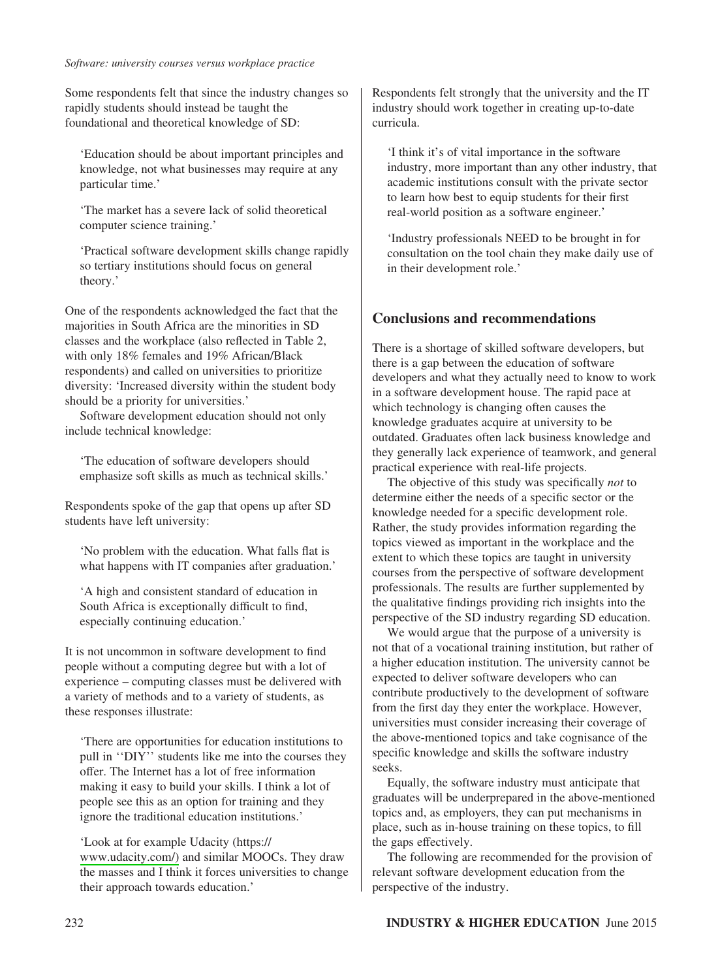#### *Software: university courses versus workplace practice*

Some respondents felt that since the industry changes so rapidly students should instead be taught the foundational and theoretical knowledge of SD:

'Education should be about important principles and knowledge, not what businesses may require at any particular time.'

'The market has a severe lack of solid theoretical computer science training.'

'Practical software development skills change rapidly so tertiary institutions should focus on general theory.'

One of the respondents acknowledged the fact that the majorities in South Africa are the minorities in SD classes and the workplace (also reflected in Table 2, with only 18% females and 19% African/Black respondents) and called on universities to prioritize diversity: 'Increased diversity within the student body should be a priority for universities.'

Software development education should not only include technical knowledge:

'The education of software developers should emphasize soft skills as much as technical skills.'

Respondents spoke of the gap that opens up after SD students have left university:

'No problem with the education. What falls flat is what happens with IT companies after graduation.'

'A high and consistent standard of education in South Africa is exceptionally difficult to find, especially continuing education.'

It is not uncommon in software development to find people without a computing degree but with a lot of experience – computing classes must be delivered with a variety of methods and to a variety of students, as these responses illustrate:

'There are opportunities for education institutions to pull in ''DIY'' students like me into the courses they offer. The Internet has a lot of free information making it easy to build your skills. I think a lot of people see this as an option for training and they ignore the traditional education institutions.'

'Look at for example Udacity (https:// [www.udacity.com/\)](http://www.udacity.com/) and similar MOOCs. They draw the masses and I think it forces universities to change their approach towards education.'

Respondents felt strongly that the university and the IT industry should work together in creating up-to-date curricula.

'I think it's of vital importance in the software industry, more important than any other industry, that academic institutions consult with the private sector to learn how best to equip students for their first real-world position as a software engineer.'

'Industry professionals NEED to be brought in for consultation on the tool chain they make daily use of in their development role.'

## **Conclusions and recommendations**

There is a shortage of skilled software developers, but there is a gap between the education of software developers and what they actually need to know to work in a software development house. The rapid pace at which technology is changing often causes the knowledge graduates acquire at university to be outdated. Graduates often lack business knowledge and they generally lack experience of teamwork, and general practical experience with real-life projects.

The objective of this study was specifically *not* to determine either the needs of a specific sector or the knowledge needed for a specific development role. Rather, the study provides information regarding the topics viewed as important in the workplace and the extent to which these topics are taught in university courses from the perspective of software development professionals. The results are further supplemented by the qualitative findings providing rich insights into the perspective of the SD industry regarding SD education.

We would argue that the purpose of a university is not that of a vocational training institution, but rather of a higher education institution. The university cannot be expected to deliver software developers who can contribute productively to the development of software from the first day they enter the workplace. However, universities must consider increasing their coverage of the above-mentioned topics and take cognisance of the specific knowledge and skills the software industry seeks.

Equally, the software industry must anticipate that graduates will be underprepared in the above-mentioned topics and, as employers, they can put mechanisms in place, such as in-house training on these topics, to fill the gaps effectively.

The following are recommended for the provision of relevant software development education from the perspective of the industry.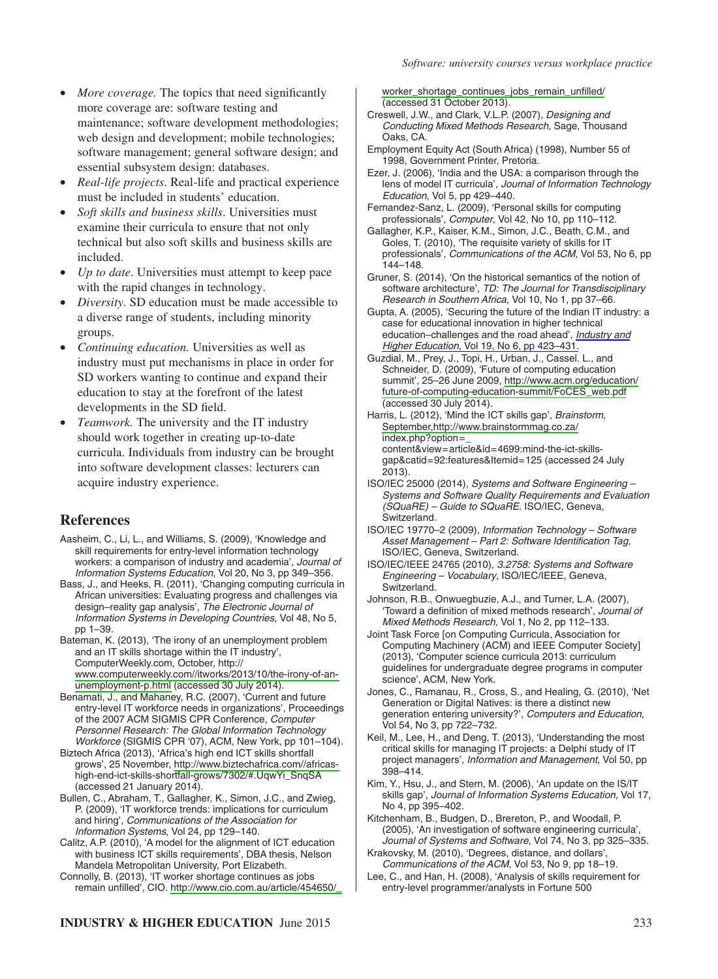- *More coverage.* The topics that need significantly more coverage are: software testing and maintenance; software development methodologies; web design and development; mobile technologies; software management; general software design; and essential subsystem design: databases.
- *Real-life projects*. Real-life and practical experience must be included in students' education.
- *Soft skills and business skills*. Universities must examine their curricula to ensure that not only technical but also soft skills and business skills are included.
- *Up to date*. Universities must attempt to keep pace with the rapid changes in technology.
- *Diversity*. SD education must be made accessible to a diverse range of students, including minority groups.
- *Continuing education.* Universities as well as industry must put mechanisms in place in order for SD workers wanting to continue and expand their education to stay at the forefront of the latest developments in the SD field.
- *Teamwork.* The university and the IT industry should work together in creating up-to-date curricula. Individuals from industry can be brought into software development classes: lecturers can acquire industry experience.

# **References**

- Aasheim, C., Li, L., and Williams, S. (2009), 'Knowledge and skill requirements for entry-level information technology workers: a comparison of industry and academia', *Journal of Information Systems Education*, Vol 20, No 3, pp 349–356.
- Bass, J., and Heeks, R. (2011), 'Changing computing curricula in African universities: Evaluating progress and challenges via design–reality gap analysis', *The Electronic Journal of Information Systems in Developing Countries*, Vol 48, No 5, pp 1–39.
- Bateman, K. (2013), 'The irony of an unemployment problem and an IT skills shortage within the IT industry', ComputerWeekly.com, October, http:// [www.computerweekly.com//itworks/2013/10/the-irony-of-an](http://www.computerweekly.com//itworks/2013/10/the-irony-of-an-unemployment-p.html)[unemployment-p.html](http://www.computerweekly.com//itworks/2013/10/the-irony-of-an-unemployment-p.html) (accessed 30 July 2014).
- Benamati, J., and Mahaney, R.C. (2007), 'Current and future entry-level IT workforce needs in organizations', Proceedings of the 2007 ACM SIGMIS CPR Conference, *Computer Personnel Research: The Global Information Technology Workforce* (SIGMIS CPR '07), ACM, New York, pp 101–104).
- Biztech Africa (2013), 'Africa's high end ICT skills shortfall grows', 25 November, [http://www.biztechafrica.com//africas](http://www.biztechafrica.com//africas-)high-end-ict-skills-shortfall-grows/7302/#.UqwYi\_SnqSA (accessed 21 January 2014).
- Bullen, C., Abraham, T., Gallagher, K., Simon, J.C., and Zwieg, P. (2009), 'IT workforce trends: implications for curriculum and hiring', *Communications of the Association for Information Systems*, Vol 24, pp 129–140.
- Calitz, A.P. (2010), 'A model for the alignment of ICT education with business ICT skills requirements', DBA thesis, Nelson Mandela Metropolitan University, Port Elizabeth.
- Connolly, B. (2013), 'IT worker shortage continues as jobs remain unfilled', CIO. [http://www.cio.com.au/article/454650/\\_](http://www.cio.com.au/article/454650/_worker_shortage_continues_jobs_remain_unfilled/)

[worker\\_shortage\\_continues\\_jobs\\_remain\\_unfilled/](http://www.cio.com.au/article/454650/_worker_shortage_continues_jobs_remain_unfilled/) (accessed 31 October 2013).

- Creswell, J.W., and Clark, V.L.P. (2007), *Designing and Conducting Mixed Methods Research*, Sage, Thousand Oaks, CA.
- Employment Equity Act (South Africa) (1998), Number 55 of 1998, Government Printer, Pretoria.
- Ezer, J. (2006), 'India and the USA: a comparison through the lens of model IT curricula', *Journal of Information Technology Education*, Vol 5, pp 429–440.
- Fernandez-Sanz, L. (2009), 'Personal skills for computing professionals', *Computer*, Vol 42, No 10, pp 110–112.
- Gallagher, K.P., Kaiser, K.M., Simon, J.C., Beath, C.M., and Goles, T. (2010), 'The requisite variety of skills for IT professionals', *Communications of the ACM*, Vol 53, No 6, pp 144–148.
- Gruner, S. (2014), 'On the historical semantics of the notion of software architecture', *TD: The Journal for Transdisciplinary Research in Southern Africa*, Vol 10, No 1, pp 37–66.
- Gupta, A. (2005), 'Securing the future of the Indian IT industry: a case for educational innovation in higher technical education–challenges and the road ahead', *[Industry and](http://www.ingentaconnect.com/content/external-references?article=0950-4222()19L.423[aid=10598518]) Higher Education*[, Vol 19, No 6, pp 423–431.](http://www.ingentaconnect.com/content/external-references?article=0950-4222()19L.423[aid=10598518])
- Guzdial, M., Prey, J., Topi, H., Urban, J., Cassel. L., and Schneider, D. (2009), 'Future of computing education summit', 25–26 June 2009, [http://www.acm.org/education/](http://www.acm.org/education/future-of-computing-education-summit/FoCES_web.pdf) [future-of-computing-education-summit/FoCES\\_web.pdf](http://www.acm.org/education/future-of-computing-education-summit/FoCES_web.pdf) (accessed 30 July 2014).
- Harris, L. (2012), 'Mind the ICT skills gap', *Brainstorm*, [September,http://www.brainstormmag.co.za/](http://www.brainstormmag.co.za/) index.php?option=\_ content&view=article&id=4699:mind-the-ict-skills
	- gap&catid=92:features&Itemid=125 (accessed 24 July 2013).
- ISO/IEC 25000 (2014), *Systems and Software Engineering – Systems and Software Quality Requirements and Evaluation (SQuaRE) – Guide to SQuaRE*. ISO/IEC, Geneva, Switzerland.
- ISO/IEC 19770–2 (2009), *Information Technology Software Asset Management – Part 2: Software Identification Tag*, ISO/IEC, Geneva, Switzerland.
- ISO/IEC/IEEE 24765 (2010), *3.2758: Systems and Software Engineering – Vocabulary*, ISO/IEC/IEEE, Geneva, Switzerland.
- Johnson, R.B., Onwuegbuzie, A.J., and Turner, L.A. (2007), 'Toward a definition of mixed methods research', *Journal of Mixed Methods Research*, Vol 1, No 2, pp 112–133.
- Joint Task Force [on Computing Curricula, Association for Computing Machinery (ACM) and IEEE Computer Society] (2013), 'Computer science curricula 2013: curriculum guidelines for undergraduate degree programs in computer science', ACM, New York.
- Jones, C., Ramanau, R., Cross, S., and Healing, G. (2010), 'Net Generation or Digital Natives: is there a distinct new generation entering university?', *Computers and Education*, Vol 54, No 3, pp 722–732.
- Keil, M., Lee, H., and Deng, T. (2013), 'Understanding the most critical skills for managing IT projects: a Delphi study of IT project managers', *Information and Management*, Vol 50, pp 398–414.
- Kim, Y., Hsu, J., and Stern, M. (2006), 'An update on the IS/IT skills gap', *Journal of Information Systems Education*, Vol 17, No 4, pp 395–402.
- Kitchenham, B., Budgen, D., Brereton, P., and Woodall, P. (2005), 'An investigation of software engineering curricula', *Journal of Systems and Software*, Vol 74, No 3, pp 325–335.
- Krakovsky, M. (2010), 'Degrees, distance, and dollars', *Communications of the ACM*, Vol 53, No 9, pp 18–19.
- Lee, C., and Han, H. (2008), 'Analysis of skills requirement for entry-level programmer/analysts in Fortune 500

# **INDUSTRY & HIGHER EDUCATION** June 2015 233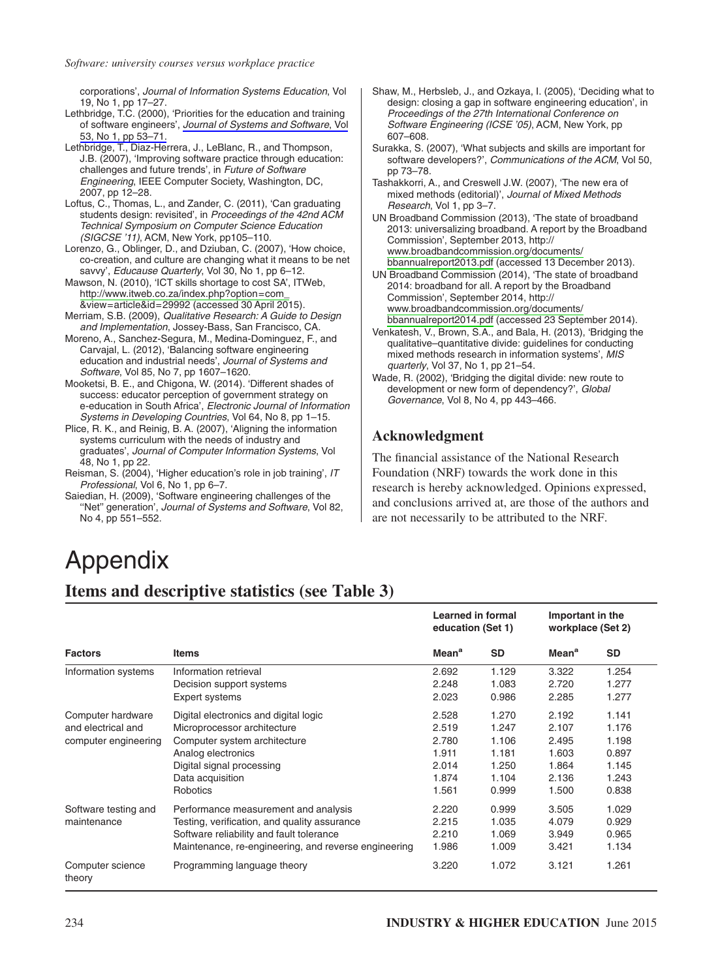corporations', *Journal of Information Systems Education*, Vol 19, No 1, pp 17–27.

Lethbridge, T.C. (2000), 'Priorities for the education and training of software engineers', *[Journal of Systems and Software](http://www.ingentaconnect.com/content/external-references?article=0164-1212()53L.53[aid=10598531])*, Vol [53, No 1, pp 53–71.](http://www.ingentaconnect.com/content/external-references?article=0164-1212()53L.53[aid=10598531])

Lethbridge, T., Diaz-Herrera, J., LeBlanc, R., and Thompson, J.B. (2007), 'Improving software practice through education: challenges and future trends', in *Future of Software Engineering*, IEEE Computer Society, Washington, DC, 2007, pp 12–28.

- Loftus, C., Thomas, L., and Zander, C. (2011), 'Can graduating students design: revisited', in *Proceedings of the 42nd ACM Technical Symposium on Computer Science Education (SIGCSE '11)*, ACM, New York, pp105–110.
- Lorenzo, G., Oblinger, D., and Dziuban, C. (2007), 'How choice, co-creation, and culture are changing what it means to be net savvy', *Educause Quarterly*, Vol 30, No 1, pp 6–12.
- Mawson, N. (2010), 'ICT skills shortage to cost SA', ITWeb, [http://www.itweb.co.za/index.php?option=com\\_](http://www.itweb.co.za/index.php?option=com_) &view=article&id=29992 (accessed 30 April 2015).
- Merriam, S.B. (2009), *Qualitative Research: A Guide to Design and Implementation*, Jossey-Bass, San Francisco, CA.
- Moreno, A., Sanchez-Segura, M., Medina-Dominguez, F., and Carvajal, L. (2012), 'Balancing software engineering education and industrial needs', *Journal of Systems and Software*, Vol 85, No 7, pp 1607–1620.
- Mooketsi, B. E., and Chigona, W. (2014). 'Different shades of success: educator perception of government strategy on e-education in South Africa', *Electronic Journal of Information Systems in Developing Countries*, Vol 64, No 8, pp 1–15.
- Plice, R. K., and Reinig, B. A. (2007), 'Aligning the information systems curriculum with the needs of industry and graduates', *Journal of Computer Information Systems*, Vol 48, No 1, pp 22.
- Reisman, S. (2004), 'Higher education's role in job training', *IT Professional*, Vol 6, No 1, pp 6–7.
- Saiedian, H. (2009), 'Software engineering challenges of the ''Net'' generation', *Journal of Systems and Software*, Vol 82, No 4, pp 551–552.
- Shaw, M., Herbsleb, J., and Ozkaya, I. (2005), 'Deciding what to design: closing a gap in software engineering education', in *Proceedings of the 27th International Conference on Software Engineering (ICSE '05)*, ACM, New York, pp 607–608.
- Surakka, S. (2007), 'What subjects and skills are important for software developers?', *Communications of the ACM*, Vol 50, pp 73–78.
- Tashakkorri, A., and Creswell J.W. (2007), 'The new era of mixed methods (editorial)', *Journal of Mixed Methods Research*, Vol 1, pp 3–7.

UN Broadband Commission (2013), 'The state of broadband 2013: universalizing broadband. A report by the Broadband Commission', September 2013, http:// [www.broadbandcommission.org/documents/](http://www.broadbandcommission.org/documents/bbannualreport2013.pdf) [bbannualreport2013.pdf](http://www.broadbandcommission.org/documents/bbannualreport2013.pdf) (accessed 13 December 2013).

UN Broadband Commission (2014), 'The state of broadband 2014: broadband for all. A report by the Broadband Commission', September 2014, http:// [www.broadbandcommission.org/documents/](http://www.broadbandcommission.org/documents/bbannualreport2014.pdf) [bbannualreport2014.pdf](http://www.broadbandcommission.org/documents/bbannualreport2014.pdf) (accessed 23 September 2014).

- Venkatesh, V., Brown, S.A., and Bala, H. (2013), 'Bridging the qualitative–quantitative divide: guidelines for conducting mixed methods research in information systems', *MIS quarterly*, Vol 37, No 1, pp 21–54.
- Wade, R. (2002), 'Bridging the digital divide: new route to development or new form of dependency?', *Global Governance*, Vol 8, No 4, pp 443–466.

# **Acknowledgment**

The financial assistance of the National Research Foundation (NRF) towards the work done in this research is hereby acknowledged. Opinions expressed, and conclusions arrived at, are those of the authors and are not necessarily to be attributed to the NRF.

# Appendix

# **Items and descriptive statistics (see Table 3)**

|                                                                 |                                                                                                                                                                                          | Learned in formal<br>education (Set 1)                      |                                                             | Important in the<br>workplace (Set 2)                       |                                                             |
|-----------------------------------------------------------------|------------------------------------------------------------------------------------------------------------------------------------------------------------------------------------------|-------------------------------------------------------------|-------------------------------------------------------------|-------------------------------------------------------------|-------------------------------------------------------------|
| <b>Factors</b>                                                  | <b>Items</b>                                                                                                                                                                             | <b>Mean<sup>a</sup></b>                                     | <b>SD</b>                                                   | Mean <sup>a</sup>                                           | <b>SD</b>                                                   |
| Information systems                                             | Information retrieval<br>Decision support systems<br>Expert systems                                                                                                                      | 2.692<br>2.248<br>2.023                                     | 1.129<br>1.083<br>0.986                                     | 3.322<br>2.720<br>2.285                                     | 1.254<br>1.277<br>1.277                                     |
| Computer hardware<br>and electrical and<br>computer engineering | Digital electronics and digital logic<br>Microprocessor architecture<br>Computer system architecture<br>Analog electronics<br>Digital signal processing<br>Data acquisition<br>Robotics  | 2.528<br>2.519<br>2.780<br>1.911<br>2.014<br>1.874<br>1.561 | 1.270<br>1.247<br>1.106<br>1.181<br>1.250<br>1.104<br>0.999 | 2.192<br>2.107<br>2.495<br>1.603<br>1.864<br>2.136<br>1.500 | 1.141<br>1.176<br>1.198<br>0.897<br>1.145<br>1.243<br>0.838 |
| Software testing and<br>maintenance                             | Performance measurement and analysis<br>Testing, verification, and quality assurance<br>Software reliability and fault tolerance<br>Maintenance, re-engineering, and reverse engineering | 2.220<br>2.215<br>2.210<br>1.986                            | 0.999<br>1.035<br>1.069<br>1.009                            | 3.505<br>4.079<br>3.949<br>3.421                            | 1.029<br>0.929<br>0.965<br>1.134                            |
| Computer science<br>theory                                      | Programming language theory                                                                                                                                                              | 3.220                                                       | 1.072                                                       | 3.121                                                       | 1.261                                                       |